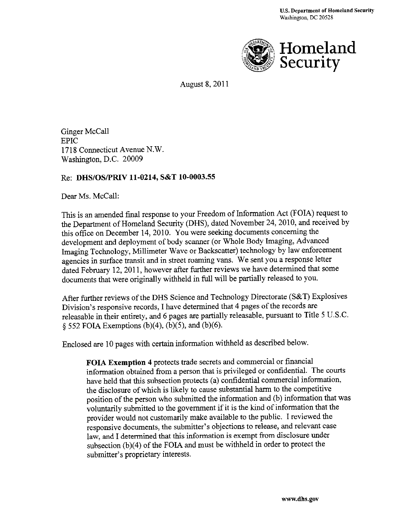

August 8, 2011

Ginger McCall EPIC 1718 Connecticut Avenue N.W. Washington, D.C. 20009

#### Re: **DHS/OSIPRIV 11-0214, S&T 10-0003.55**

Dear Ms. McCall:

This is an amended final response to your Freedom of Information Act (FOIA) request to the Department of Homeland Security (DHS), dated November 24, 2010, and received by this office on December 14, 2010. You were seeking documents concerning the development and deployment of body scanner (or Whole Body Imaging, Advanced Imaging Technology, Millimeter Wave or Backscatter) technology by law enforcement agencies in surface transit and in street roaming vans. We sent you a response letter dated February 12, 2011, however after further reviews we have determined that some documents that were originally withheld in full will be partially released to you.

After further reviews of the DHS Science and Teclmology Directorate (S&T) Explosives Division's responsive records, I have determined that 4 pages of the records are releasable in their entirety, and 6 pages are partially releasable, pursuant to Title 5 U.S.C.  $\S$  552 FOIA Exemptions (b)(4), (b)(5), and (b)(6).

Enclosed are 10 pages with certain information withheld as described below.

**FOIA Exemption 4** protects trade secrets and commercial or financial information obtained from a person that is privileged or confidential. The courts have held that this subsection protects (a) confidential commercial information, the disclosure of which is likely to cause substantial harm to the competitive position of the person who submitted the information and (b) information that was voluntarily submitted to the government if it is the kind of information that the provider would not customarily make available to the public. I reviewed the responsive documents, the submitter's objections to release, and relevant case law, and I determined that this information is exempt from disclosure under subsection  $(b)(4)$  of the FOIA and must be withheld in order to protect the submitter's proprietary interests.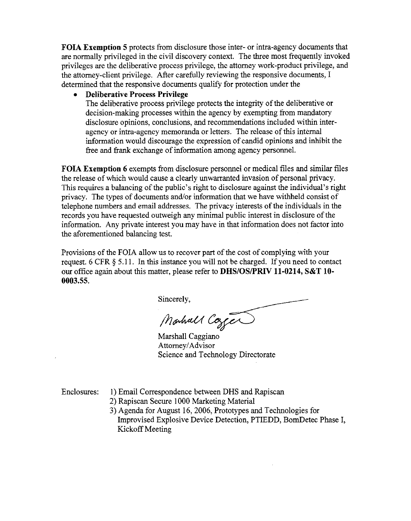**FOIA** Exemption 5 protects from disclosure those inter- or intra-agency documents that are normally privileged in the civil discovery context. The three most frequently invoked privileges are the deliberative process privilege, the attorney work-product privilege, and the attorney-client privilege. After carefully reviewing the responsive documents, I determined that the responsive documents qualify for protection under the

• Deliberative Process Privilege

The deliberative process privilege protects the integrity of the deliberative or decision-making processes within the agency by exempting from mandatory disclosure opinions, conclusions, and recommendations included within interagency or intra-agency memoranda or letters. The release of this internal information would discourage the expression of candid opinions and inhibit the free and frank exchange of information among agency personnel.

**FOIA Exemption 6** exempts from disclosure personnel or medical files and similar files the release of which would cause a clearly unwarranted invasion of personal privacy. This requires a balancing of the public's right to disclosure against the individual's right privacy. The types of documents and/or information that we have withheld consist of telephone numbers and email addresses. The privacy interests of the individuals in the records you have requested outweigh any minimal public interest in disclosure of the information. Any private interest you may have in that information does not factor into the aforementioned balancing test.

Provisions of the FOIA allow us to recover part of the cost of complying with your request. 6 CFR  $\S$  5.11. In this instance you will not be charged. If you need to contact our office again about this matter, please refer to DHS/OS/PRIV 11-0214, S&T 10-0003.55.

Sincerely,

Montrall Cozen

Marshall Caggiano Attorney/Advisor Science and Technology Directorate

Enclosures: 1) Email Correspondence between DHS and Rapiscan

2) Rapiscan Secure 1000 Marketing Material

3) Agenda for August 16, 2006, Prototypes and Technologies for Improvised Explosive Device Detection, PTIEDD, BomDetec Phase I, Kickoff Meeting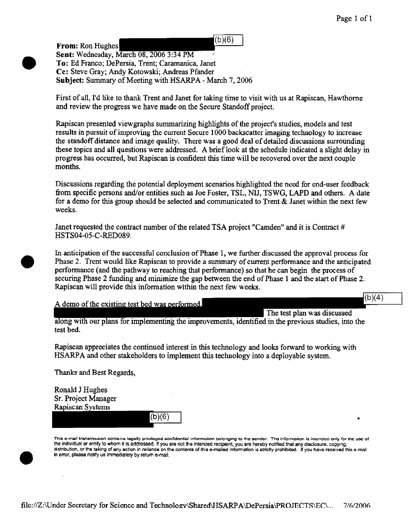$(b)(6)$ From: Ron Hughes Sent: Wednesday, March 08, 2006 3:34 PM To: Ed Franco; DePersia, Trent; Caramanica, Janet Cc: Steve Gray; Andy Kotowski; Andreas Pfander Subject: Summary of Meeting with HSARPA - March 7, 2006

First of all, I'd like to thank Trent and Janet for taking time to visit with us at Rapiscan, Hawthorne and review the progress we have made on the Secure Standoff project.

Rapiscan presented viewgraphs summarizing highlights of the project's studies, models and test results in pursuit of improving the current Secure 1000 backscatter imaging technology to increase the standoff distance and image quaJity. There was a good deal of detailed discussions surrounding these topics and all questions were addressed. A brief look at the schedule indicated a slight delay in progress has occurred, but Rapiscan is confident this time will be recovered over the next couple months.

Discussions regarding the potential deployment scenarios highlighted the need for end-user feedback from specific persons and/or entities such as Joe Foster, TSL, NIJ, TSWG, LAPD and others. A date for a demo for this group should be selected and communicated to Trent & Janet within the next few weeks.

Janet requested the contract number of the related TSA project "Camden" and it is Contract # HSTS04-05-C-RED089.

In anticipation of the successful conclusion of Phase 1, we further discussed the approval process for Phase 2. Trent would like Rapiscan to provide a summary of current performance and the anticipated performance (and the pathway to reaching that performance) so that he can begin the process of securing Phase 2 funding and minimize the gap between the end of Phase 1 and the start of Phase 2. Rapiscan will provide this information within the next few weeks.

A demo of the existing test bed was performed.

 $(b)(4)$ 

•

The test plan was discussed along with our plans for implementing the improvements, identified in the previous studies, into the test bed.

Rapiscan appreciates the continued interest in this technology and looks forward to working with HSARPA and other stakeholders to implement this technology into a deployable system.

Thanks and Best Regards,

Ronald J Hughes Sr. Project Manager Rapiscan Systems

•

•

•

This e-mail transmission containe legally privileged confidential information belonging to the sender. The information is intended only for the use of the individual or entity to whom it Is addressed, If you are not the intended recipient, you are hereby notified that any disclosure, copying, distribution, or the taking of any action in reliance on the contents of this e-mailed information is strictly prohibited. If you have received this e-mail in error, please notify us immediately by return e-mail.

(b)(6)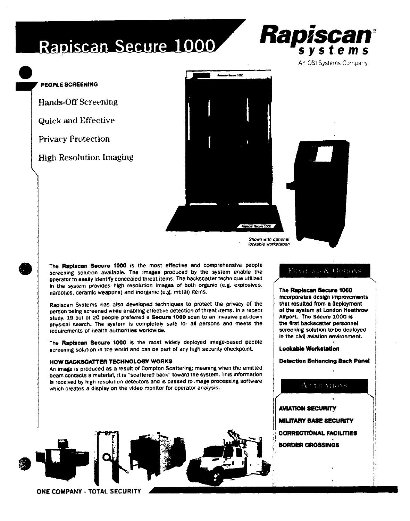## Rapiscan Secure 1000

#### PEOPLE SCREENING

**Hands-Off Screening** 

**Quick and Effective** 

**Privacy Protection** 

**High Resolution Imaging** 



Shown with optional lockable workstation

The Rapiscan Secure 1000 is the most effective and comprehensive people screening solution available. The images produced by the system enable the operator to easily identify concealed threat items. The backscatter technique utilized in the system provides high resolution Images of both organic (e.g. explosives, narcotics, ceramic weapons) and inorganic (e.g. metal) items.

Rapiscan Systems has also developed techniques to protect the privacy of the person being screened while enabling effective detection of threat items. In a recent study, 19 out of 20 people preferred a Secure 1000 scan to an invasive pat-down physical search. The system is completely safe for all persons and meets the requirements of health authorities worldwide.

The Rapiscan Secure 1000 is the most widely deployed image-based people screening solution in the world and can be part of any high security checkpoint.

#### HOW BACKSCATTER TECHNOLOGY WORKS

An image is produced as a result of Compton Scattering; meaning when the emitted beam contacts a material, it is "scattered back" toward the system. This information is received by high resolution detectors and is passed to image processing software which creates a display on the video monitor for operator analysis.



ONE COMPANY - TOTAL SECURITY

#### **FEAT RES & OPTONS**

#### The Rapiscan Secure 1000

Rapiscan

systems An OSI Systems Company

incorporates design improvements that resulted from a deployment of the system at London Heathrow Airport. The Secure 1000 is the first backscatter personnel screening solution to be deployed In the civil aviation environment.

Lockable Workstation

**Detection Enhancing Back Panel** 

#### APPLICATIONS

**AVIATION SECURITY** MILITARY BASE SECURITY CORRECTIONAL FACILITIES **BORDER CROSSINGS** 

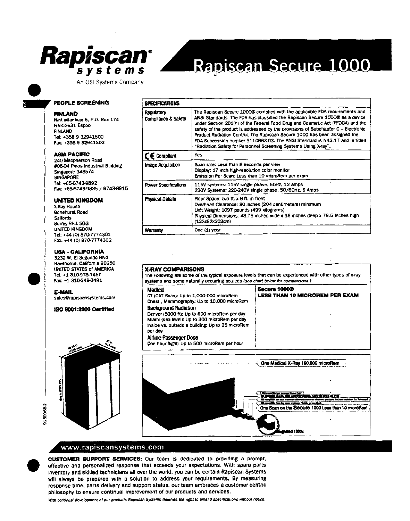

#### An OSI Systems Company

# Rapiscan Secure 1000

#### PEOPLE SCREENING

#### **FINLAND**

Nintisillankuja 5, P.O. Box 174 **FIN-02631 Espoo FINLAND** Tel: +358 9 32941500 Fax: +358 9 32941302

#### **ASIA PACIFIC**

240 Macpherson Road #06-04 Pines Industrial Building Singapore 348574 **SINGAPORE** Tel: +65-6743-9892 Fax: +65-6743-9885 / 6743-9915

#### **UNITED KINGDOM**

X-Ray House Bonehurst Road **Salfords** Surrey RH1 5GG UNITED KINGDOM Tel: +44 (0) 870-7774301 Fax: +44 (0) 870-7774302

#### **USA - CALIFORNIA**

3232 W. El Segundo Blvd. Hawthome, California 90250 UNITED STATES of AMERICA Tel: +1 310-978-1457 Fax: +1 310-349-2491

#### **E-MAIL**

31500682

sales@rapiscansystems.com

**ISO 9001:2000 Certified** 



| <b>SPECIFICATIONS</b>             |                                                                                                                                                                                                                                                                                                                                                                                                                                                                                                                                                                    |  |
|-----------------------------------|--------------------------------------------------------------------------------------------------------------------------------------------------------------------------------------------------------------------------------------------------------------------------------------------------------------------------------------------------------------------------------------------------------------------------------------------------------------------------------------------------------------------------------------------------------------------|--|
| Regulatory<br>Compliance & Safety | The Rapiscan Secure 10000 complies with the applicable FDA requirements and<br>ANSI Standards. The FDA has classified the Rapiscan Secure 100000 as a device<br>under Section 201(h) of the Federal Food Drug and Cosmetic Act (FFDCA) and the<br>safety of the product is addressed by the provisions of Subchapter C - Electronic<br>Product Radiation Control. The Rapiscan Secure 1000 has been assigned the<br>FDA Succession number 9110663-03. The ANSI Standard is N43.17 and is titled<br>"Radiation Safety for Personnel Screening Systems Using X-ray". |  |
| $\zeta \in$ Compliant             | Yes:                                                                                                                                                                                                                                                                                                                                                                                                                                                                                                                                                               |  |
| Image Acquisition                 | Scan rate: Less than 8 seconds per view<br>Display: 17 inch high-resolution color monitor<br>Emission Per Scan: Less than 10 microRem per exam-                                                                                                                                                                                                                                                                                                                                                                                                                    |  |
| Power Specifications              | 115V systems: 115V single phase, 60Hz, 12 Amps<br>230V Systems: 220-240V single phase, 50/60Hz, 6 Amps                                                                                                                                                                                                                                                                                                                                                                                                                                                             |  |
| Physical Details                  | Floor Space: 5.5 ft. x 9 ft. in front<br>Overhead Clearance: 80 inches (204 centimeters) minimum<br>Unit Weight: 1097 pounds (499 kilograms)<br>Physical Dimensions: 48.75 inches wide x 36 inches deep x 79.5 Inches high<br>(123x92x202cm)                                                                                                                                                                                                                                                                                                                       |  |

One (1) year

#### **X-RAY COMPARISONS** The Following are some of the typical exposure levels that can be experienced with other types of x-ray systems and some naturally occurring sources (see chart below for comparisons.) **Secure 10000** Medical CT (CAT Scan): Up to 1,000,000 microRem **LESS THAN 10 MICROREM PER EXAM** Chest, Mammography: Up to 10,000 microRem **Background Radiation** Denver (5000 ft): Up to 600 microRem per day Miami (sea level): Up to 300 microRem per day Inside vs. outside a building: Up to 25 microRem per day **Airline Passenger Dose** One hour flight: Up to 500 microRem per hour



#### www.rapiscansystems.com

CUSTOMER SUPPORT SERVICES: Our team is dedicated to providing a prompt. effective and personalized response that exceeds your expectations. With spare parts inventory and skilled technicians all over the world, you can be certain Rapiscan Systems will always be prepared with a solution to address your requirements. By measuring response time, parts delivery and support status, our team embraces a customer centric philosophy to ensure continual improvement of our products and services.

Warranty

With continual development of our products Rapiscan Systems reserves the right to amend specifications without notice.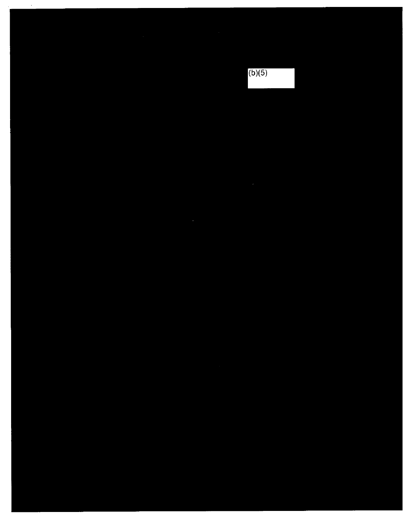$\epsilon$ 

 $(b)(5)$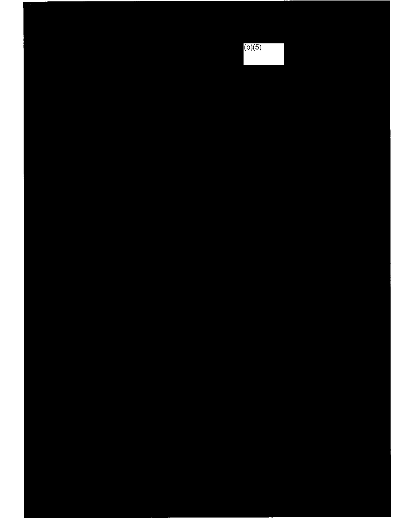$(b)(5)$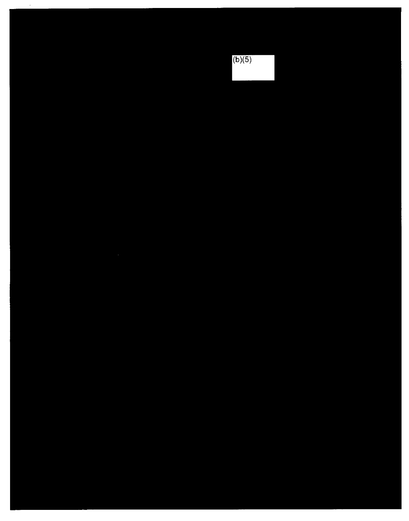# $(b)(5)$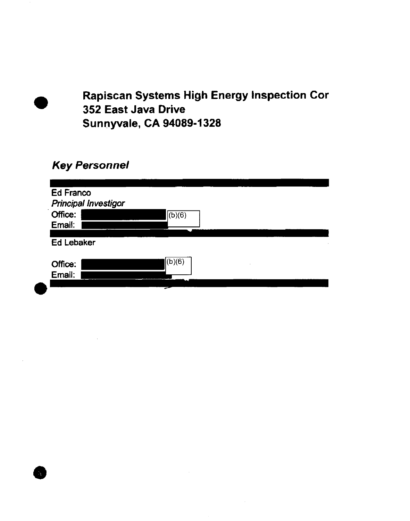• **Rapiscan Systems High Energy Inspection Cor 352 East Java Drive Sunnyvale, CA 94089·1328** 

### **Key Personnel**

**•**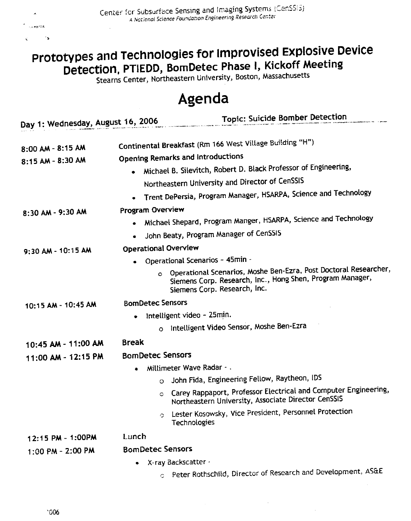$\blacktriangle$ 

## Prototypes and Technologies for Improvised Explosive Device Detection, PTIEDD, BomDetec Phase I, Kickoff Meeting

Stearns Center, Northeastern University, Boston, Massachusetts

### Agenda

| Day 1: Wednesday, August 16, 2006 | <b>Topic: Suicide Bomber Detection</b>                                                                                                                                   |  |  |
|-----------------------------------|--------------------------------------------------------------------------------------------------------------------------------------------------------------------------|--|--|
|                                   |                                                                                                                                                                          |  |  |
| 8:00 AM - 8:15 AM                 | Continental Breakfast (Rm 166 West Village Building "H")                                                                                                                 |  |  |
| 8:15 AM - 8:30 AM                 | Opening Remarks and Introductions                                                                                                                                        |  |  |
|                                   | Michael B. Silevitch, Robert D. Black Professor of Engineering,                                                                                                          |  |  |
|                                   | Northeastern University and Director of CenSSIS                                                                                                                          |  |  |
|                                   | Trent DePersia, Program Manager, HSARPA, Science and Technology                                                                                                          |  |  |
| 8:30 AM - 9:30 AM                 | Program Overview                                                                                                                                                         |  |  |
|                                   | Michael Shepard, Program Manger, HSARPA, Science and Technology                                                                                                          |  |  |
|                                   | John Beaty, Program Manager of CenSSIS                                                                                                                                   |  |  |
| 9:30 AM - 10:15 AM                | Operational Overview                                                                                                                                                     |  |  |
|                                   | Operational Scenarios - 45min -                                                                                                                                          |  |  |
|                                   | Operational Scenarios, Moshe Ben-Ezra, Post Doctoral Researcher,<br>$\circ$<br>Siemens Corp. Research, Inc., Hong Shen, Program Manager,<br>Siemens Corp. Research, Inc. |  |  |
| 10:15 AM - 10:45 AM               | <b>BomDetec Sensors</b>                                                                                                                                                  |  |  |
|                                   | Intelligent video - 25min.                                                                                                                                               |  |  |
|                                   | Intelligent Video Sensor, Moshe Ben-Ezra                                                                                                                                 |  |  |
| 10:45 AM - 11:00 AM               | <b>Break</b>                                                                                                                                                             |  |  |
| 11:00 AM - 12:15 PM               | <b>BomDetec Sensors</b>                                                                                                                                                  |  |  |
|                                   | Millimeter Wave Radar - .                                                                                                                                                |  |  |
|                                   | John Fida, Engineering Fellow, Raytheon, IDS<br>$\circ$                                                                                                                  |  |  |
|                                   | Carey Rappaport, Professor Electrical and Computer Engineering,<br>C<br>Northeastern University, Associate Director CenSSIS                                              |  |  |
|                                   | Lester Kosowsky, Vice President, Personnel Protection<br>O<br>Technologies                                                                                               |  |  |
| 12:15 PM - 1:00PM                 | Lunch                                                                                                                                                                    |  |  |
| 1:00 PM - 2:00 PM                 | <b>BomDetec Sensors</b>                                                                                                                                                  |  |  |
|                                   | X-ray Backscatter -<br>٠                                                                                                                                                 |  |  |
|                                   | o Peter Rothschild, Director of Research and Development, AS&E                                                                                                           |  |  |

 $\mathcal{L}_{\mathcal{A}}$